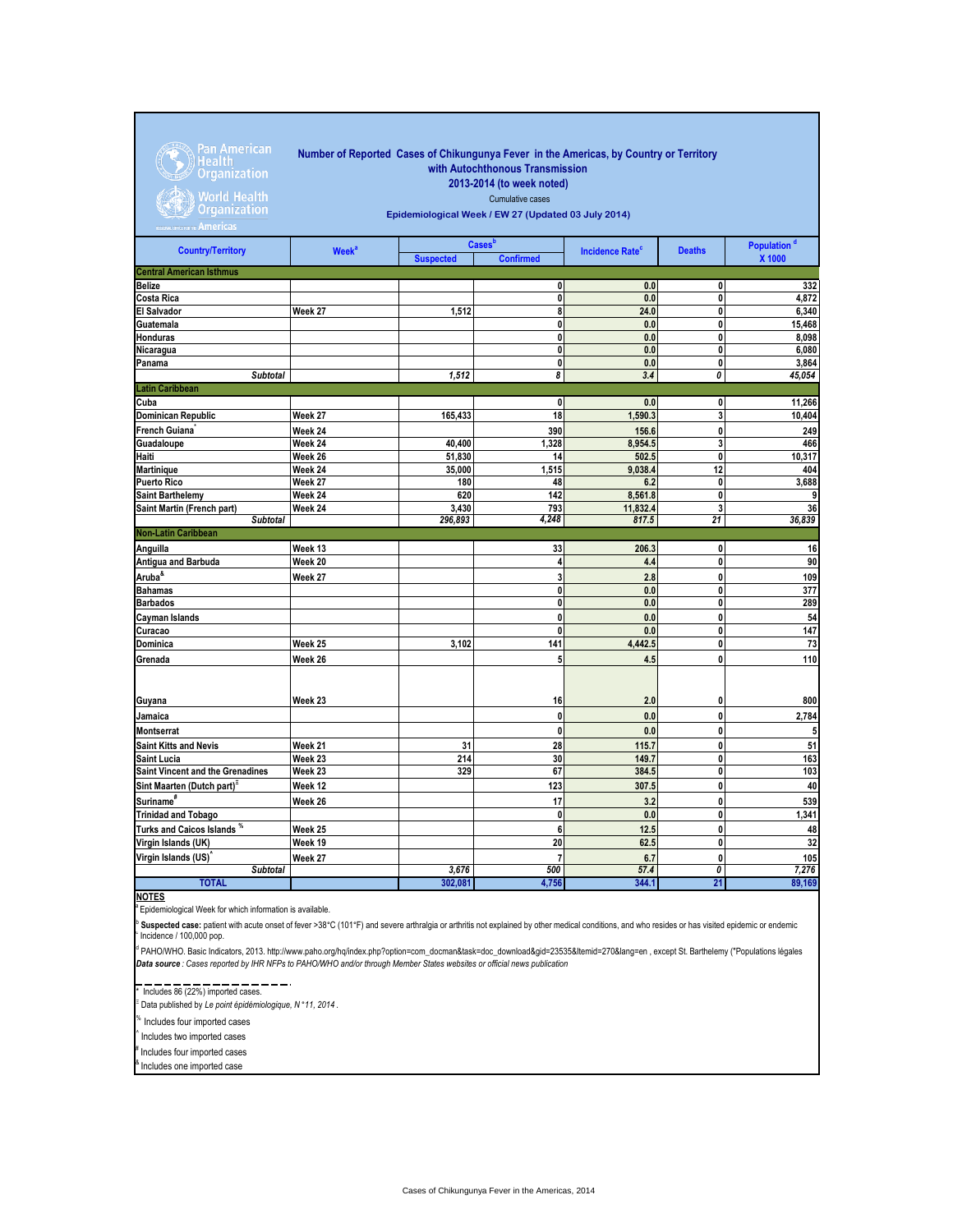

## **Number of Reported Cases of Chikungunya Fever in the Americas, by Country or Territory with Autochthonous Transmission 2013-2014 (to week noted)**

World Health<br>Organization

## Cumulative cases **Epidemiological Week / EW 27 (Updated 03 July 2014)**

| <b>Country/Territory</b>                      | Week <sup>a</sup> |                  | Cases <sup>b</sup> | <b>Incidence Rate<sup>c</sup></b> | <b>Deaths</b> | Population <sup>d</sup> |
|-----------------------------------------------|-------------------|------------------|--------------------|-----------------------------------|---------------|-------------------------|
|                                               |                   | <b>Suspected</b> | <b>Confirmed</b>   |                                   |               | X 1000                  |
| <b>Central American Isthmus</b>               |                   |                  |                    |                                   |               |                         |
| Belize                                        |                   |                  | $\mathbf 0$        | 0.0                               | 0             | 332                     |
| Costa Rica                                    |                   |                  | $\mathbf 0$        | 0.0                               | 0             | 4,872                   |
| <b>El Salvador</b>                            | Week 27           | 1,512            | 8                  | 24.0                              | 0             | 6,340                   |
| Guatemala                                     |                   |                  | $\pmb{0}$          | 0.0                               | 0             | 15,468                  |
| Honduras                                      |                   |                  | 0                  | 0.0                               | 0             | 8,098                   |
| Nicaragua                                     |                   |                  | 0                  | 0.0                               | 0             | 6,080                   |
| Panama                                        |                   |                  | 0                  | 0.0                               | 0             | 3,864                   |
| <b>Subtotal</b>                               |                   | 1,512            | 8                  | 3.4                               | 0             | 45,054                  |
| <b>Latin Caribbean</b>                        |                   |                  |                    |                                   |               |                         |
| Cuba                                          |                   |                  | $\mathbf{0}$       | 0.0                               | 0             | 11,266                  |
| <b>Dominican Republic</b>                     | Week 27           | 165,433          | 18                 | 1,590.3                           | 3             | 10,404                  |
| French Guiana                                 | Week 24           |                  | 390                | 156.6                             | 0             | 249                     |
| Guadaloupe                                    | Week 24           | 40,400           | 1,328              | 8,954.5                           | 3             | 466                     |
| Haiti                                         | Week 26           | 51,830           | 14                 | 502.5                             | 0             | 10,317                  |
| <b>Martinique</b>                             | Week 24           | 35,000           | 1,515              | 9,038.4                           | 12            | 404                     |
| <b>Puerto Rico</b>                            | Week 27           | 180              | 48                 | 6.2                               | 0             | 3,688                   |
| <b>Saint Barthelemy</b>                       | Week 24           | 620              | 142                | 8,561.8                           | 0             | 9                       |
| Saint Martin (French part)<br><b>Subtotal</b> | Week 24           | 3,430<br>296,893 | 793<br>4,248       | 11,832.4<br>817.5                 | 3<br>21       | 36<br>36,839            |
| <b>Non-Latin Caribbean</b>                    |                   |                  |                    |                                   |               |                         |
|                                               |                   |                  |                    |                                   |               |                         |
| Anguilla                                      | Week 13           |                  | 33                 | 206.3                             | 0             | 16                      |
| <b>Antigua and Barbuda</b>                    | Week 20           |                  | 4                  | 4.4                               | 0             | 90                      |
| Aruba <sup>&amp;</sup>                        | Week 27           |                  | 3                  | 2.8                               | 0             | 109                     |
| Bahamas                                       |                   |                  | $\mathbf{0}$       | 0.0                               | 0             | 377                     |
| <b>Barbados</b>                               |                   |                  | $\mathbf 0$        | 0.0                               | 0             | 289                     |
| <b>Cayman Islands</b>                         |                   |                  | $\mathbf{0}$       | 0.0                               | 0             | 54                      |
| Curacao                                       |                   |                  | 0                  | 0.0                               | 0             | $\overline{147}$        |
| Dominica                                      | Week 25           | 3,102            | 141                | 4,442.5                           | 0             | 73                      |
| Grenada                                       | Week 26           |                  | 5                  | 4.5                               | 0             | 110                     |
|                                               |                   |                  |                    |                                   |               |                         |
|                                               |                   |                  |                    |                                   |               |                         |
| Guyana                                        | Week 23           |                  | 16                 | 2.0                               | 0             | 800                     |
| Jamaica                                       |                   |                  | $\mathbf{0}$       | 0.0                               | 0             | 2,784                   |
| <b>Montserrat</b>                             |                   |                  | 0                  | 0.0                               | 0             | 5                       |
| <b>Saint Kitts and Nevis</b>                  | Week 21           | 31               | 28                 | 115.7                             | 0             | 51                      |
| <b>Saint Lucia</b>                            | Week 23           | 214              | 30                 | 149.7                             | 0             | 163                     |
| Saint Vincent and the Grenadines              | Week 23           | 329              | 67                 | 384.5                             | 0             | 103                     |
| Sint Maarten (Dutch part)                     | Week 12           |                  | 123                | 307.5                             | 0             | 40                      |
| Suriname <sup>#</sup>                         | Week 26           |                  | 17                 | 3.2                               | 0             | 539                     |
| <b>Trinidad and Tobago</b>                    |                   |                  | $\mathbf{0}$       | 0.0                               | 0             | 1,341                   |
| Turks and Caicos Islands *                    | Week 25           |                  | 6                  | 12.5                              | 0             | 48                      |
| Virgin Islands (UK)                           | Week 19           |                  | 20                 | 62.5                              | 0             | 32                      |
| Virgin Islands (US)                           | Week 27           |                  | $\overline{7}$     | 6.7                               | 0             | 105                     |
| <b>Subtotal</b>                               |                   | 3,676            | 500                | 57.4                              | 0             | 7,276                   |
| <b>TOTAL</b>                                  |                   | 302,081          | 4,756              | 344.1                             | 21            | 89,169                  |

**NOTES** <sup>a</sup>Epidemiological Week for which information is available.

 $\degree$  Incidence / 100,000 pop. b Suspected case: patient with acute onset of fever >38°C (101°F) and severe arthralgia or arthritis not explained by other medical conditions, and who resides or has visited epidemic or endemic

d PAHO/WHO. Basic Indicators, 2013. http://www.paho.org/hq/index.php?option=com\_docman&task=doc\_download&gid=23535&Itemid=270&lang=en , except St. Barthelemy ("Populations légales *Data source : Cases reported by IHR NFPs to PAHO/WHO and/or through Member States websites or official news publication* 

\* Includes 86 (22%) imported cases.

Ξ Data published by *Le point épidémiologique, N* °*11, 2014* .

% Includes four imported cases

^ Includes two imported cases

Includes four imported cases

<sup>8</sup> Includes one imported case